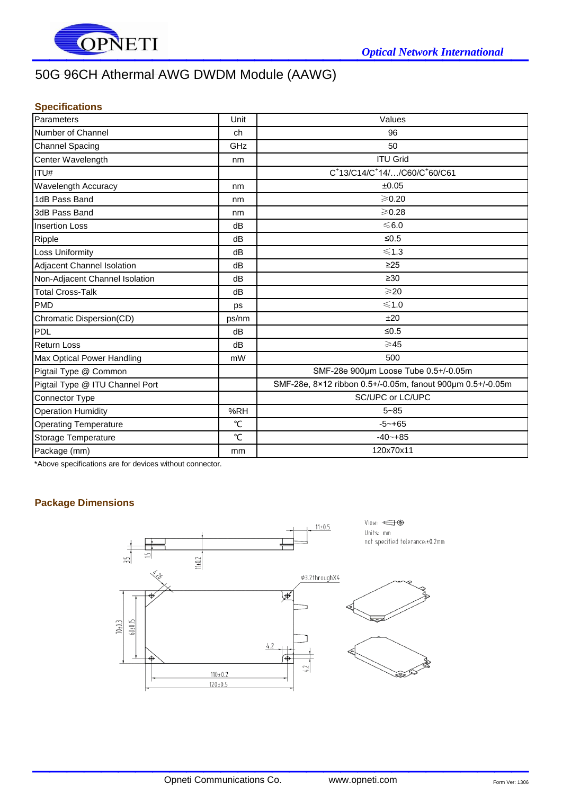

# 50G 96CH Athermal AWG DWDM Module (AAWG)

### **Specifications**

| Parameters                      | Unit         | Values                                                     |
|---------------------------------|--------------|------------------------------------------------------------|
| Number of Channel               | ch           | 96                                                         |
| <b>Channel Spacing</b>          | GHz          | 50                                                         |
| Center Wavelength               | nm           | <b>ITU Grid</b>                                            |
| ITU#                            |              | C+13/C14/C+14//C60/C+60/C61                                |
| <b>Wavelength Accuracy</b>      | nm           | ±0.05                                                      |
| 1dB Pass Band                   | nm           | $≥$ 0.20                                                   |
| 3dB Pass Band                   | nm           | $≥$ 0.28                                                   |
| <b>Insertion Loss</b>           | dB           | $≤6.0$                                                     |
| Ripple                          | dB           | $≤0.5$                                                     |
| <b>Loss Uniformity</b>          | dB           | $≤1.3$                                                     |
| Adjacent Channel Isolation      | dB           | $\geq$ 25                                                  |
| Non-Adjacent Channel Isolation  | dB           | $\geq 30$                                                  |
| <b>Total Cross-Talk</b>         | dB           | $\geqslant$ 20                                             |
| <b>PMD</b>                      | ps           | $\leq 1.0$                                                 |
| Chromatic Dispersion(CD)        | ps/nm        | ±20                                                        |
| PDL                             | dB           | $≤0.5$                                                     |
| <b>Return Loss</b>              | dB           | $\geqslant$ 45                                             |
| Max Optical Power Handling      | mW           | 500                                                        |
| Pigtail Type @ Common           |              | SMF-28e 900um Loose Tube 0.5+/-0.05m                       |
| Pigtail Type @ ITU Channel Port |              | SMF-28e, 8×12 ribbon 0.5+/-0.05m, fanout 900um 0.5+/-0.05m |
| Connector Type                  |              | SC/UPC or LC/UPC                                           |
| <b>Operation Humidity</b>       | %RH          | $5 - 85$                                                   |
| <b>Operating Temperature</b>    | °C           | $-5 - +65$                                                 |
| Storage Temperature             | $\mathrm{C}$ | $-40 - +85$                                                |
| Package (mm)                    | mm           | 120x70x11                                                  |

\*Above specifications are for devices without connector.

# **Package Dimensions**



 $\mathcal{L}_\text{max}$  , which is a set of the set of the set of the set of the set of the set of the set of the set of the set of the set of the set of the set of the set of the set of the set of the set of the set of the set of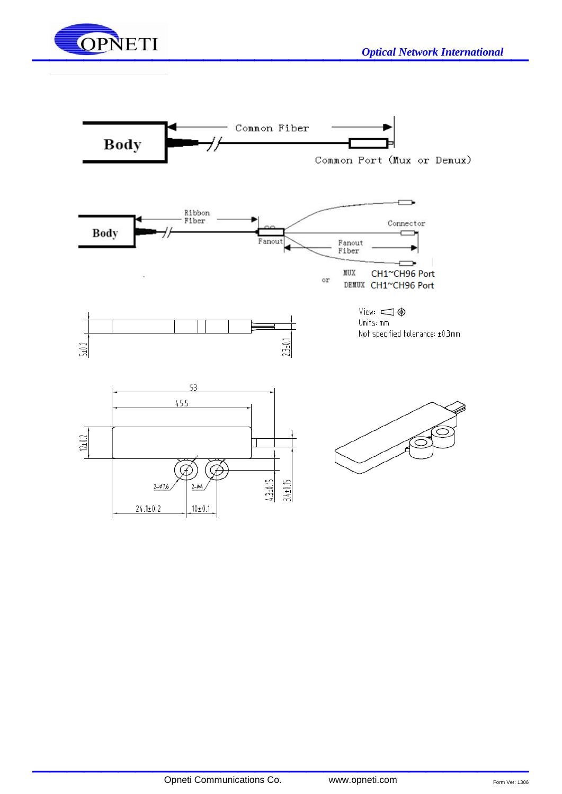



 $\mathcal{L}_\text{max}$  , which is a set of the set of the set of the set of the set of the set of the set of the set of the set of the set of the set of the set of the set of the set of the set of the set of the set of the set of